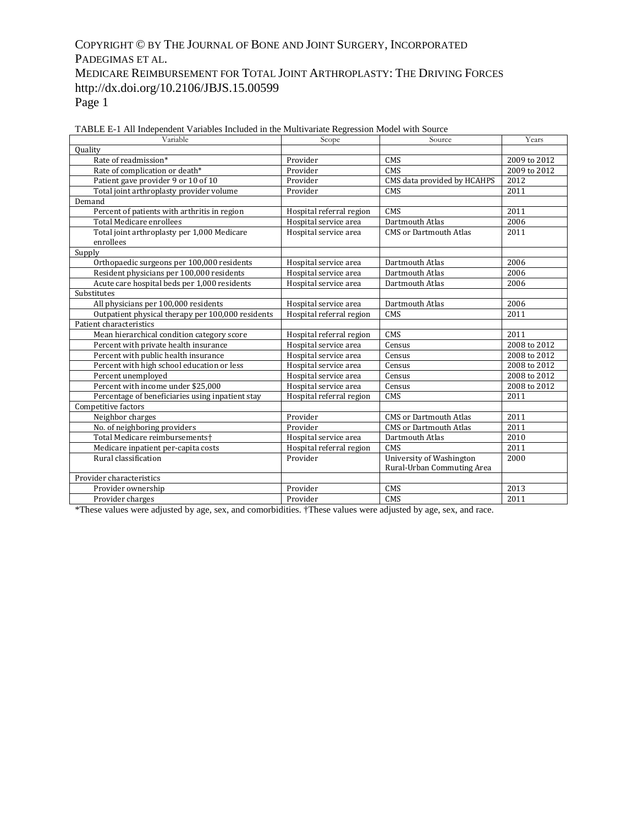## COPYRIGHT © BY THE JOURNAL OF BONE AND JOINT SURGERY, INCORPORATED PADEGIMAS ET AL. MEDICARE REIMBURSEMENT FOR TOTAL JOINT ARTHROPLASTY: THE DRIVING FORCES http://dx.doi.org/10.2106/JBJS.15.00599 Page 1

| Variable                                          | Scope                    | Source                        | Years        |
|---------------------------------------------------|--------------------------|-------------------------------|--------------|
| <b>Quality</b>                                    |                          |                               |              |
| Rate of readmission*                              | Provider                 | CMS                           | 2009 to 2012 |
| Rate of complication or death*                    | Provider                 | CMS                           | 2009 to 2012 |
| Patient gave provider 9 or 10 of 10               | Provider                 | CMS data provided by HCAHPS   | 2012         |
| Total joint arthroplasty provider volume          | Provider                 | CMS                           | 2011         |
| Demand                                            |                          |                               |              |
| Percent of patients with arthritis in region      | Hospital referral region | CMS                           | 2011         |
| <b>Total Medicare enrollees</b>                   | Hospital service area    | Dartmouth Atlas               | 2006         |
| Total joint arthroplasty per 1,000 Medicare       | Hospital service area    | <b>CMS</b> or Dartmouth Atlas | 2011         |
| enrollees                                         |                          |                               |              |
| Supply                                            |                          |                               |              |
| Orthopaedic surgeons per 100,000 residents        | Hospital service area    | Dartmouth Atlas               | 2006         |
| Resident physicians per 100,000 residents         | Hospital service area    | Dartmouth Atlas               | 2006         |
| Acute care hospital beds per 1,000 residents      | Hospital service area    | Dartmouth Atlas               | 2006         |
| Substitutes                                       |                          |                               |              |
| All physicians per 100,000 residents              | Hospital service area    | Dartmouth Atlas               | 2006         |
| Outpatient physical therapy per 100,000 residents | Hospital referral region | CMS                           | 2011         |
| Patient characteristics                           |                          |                               |              |
| Mean hierarchical condition category score        | Hospital referral region | CMS                           | 2011         |
| Percent with private health insurance             | Hospital service area    | Census                        | 2008 to 2012 |
| Percent with public health insurance              | Hospital service area    | Census                        | 2008 to 2012 |
| Percent with high school education or less        | Hospital service area    | Census                        | 2008 to 2012 |
| Percent unemployed                                | Hospital service area    | Census                        | 2008 to 2012 |
| Percent with income under \$25,000                | Hospital service area    | Census                        | 2008 to 2012 |
| Percentage of beneficiaries using inpatient stay  | Hospital referral region | CMS                           | 2011         |
| Competitive factors                               |                          |                               |              |
| Neighbor charges                                  | Provider                 | <b>CMS</b> or Dartmouth Atlas | 2011         |
| No. of neighboring providers                      | Provider                 | <b>CMS</b> or Dartmouth Atlas | 2011         |
| Total Medicare reimbursements+                    | Hospital service area    | Dartmouth Atlas               | 2010         |
| Medicare inpatient per-capita costs               | Hospital referral region | CMS                           | 2011         |
| Rural classification                              | Provider                 | University of Washington      | 2000         |
|                                                   |                          | Rural-Urban Commuting Area    |              |
| Provider characteristics                          |                          |                               |              |
| Provider ownership                                | Provider                 | CMS                           | 2013         |
| Provider charges                                  | Provider                 | CMS                           | 2011         |

| TABLE E-1 All Independent Variables Included in the Multivariate Regression Model with Source |  |  |
|-----------------------------------------------------------------------------------------------|--|--|
|                                                                                               |  |  |

\*These values were adjusted by age, sex, and comorbidities. †These values were adjusted by age, sex, and race.